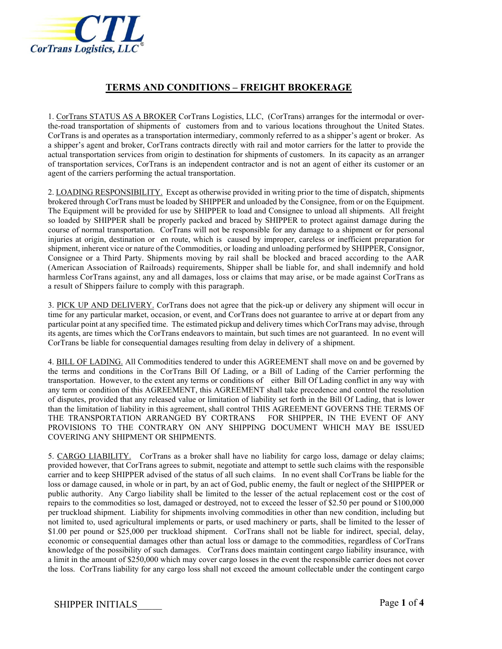

## **TERMS AND CONDITIONS – FREIGHT BROKERAGE**

1. CorTrans STATUS AS A BROKER CorTrans Logistics, LLC, (CorTrans) arranges for the intermodal or overthe-road transportation of shipments of customers from and to various locations throughout the United States. CorTrans is and operates as a transportation intermediary, commonly referred to as a shipper's agent or broker. As a shipper's agent and broker, CorTrans contracts directly with rail and motor carriers for the latter to provide the actual transportation services from origin to destination for shipments of customers. In its capacity as an arranger of transportation services, CorTrans is an independent contractor and is not an agent of either its customer or an agent of the carriers performing the actual transportation.

2. LOADING RESPONSIBILITY. Except as otherwise provided in writing prior to the time of dispatch, shipments brokered through CorTrans must be loaded by SHIPPER and unloaded by the Consignee, from or on the Equipment. The Equipment will be provided for use by SHIPPER to load and Consignee to unload all shipments. All freight so loaded by SHIPPER shall be properly packed and braced by SHIPPER to protect against damage during the course of normal transportation. CorTrans will not be responsible for any damage to a shipment or for personal injuries at origin, destination or en route, which is caused by improper, careless or inefficient preparation for shipment, inherent vice or nature of the Commodities, or loading and unloading performed by SHIPPER, Consignor, Consignee or a Third Party. Shipments moving by rail shall be blocked and braced according to the AAR (American Association of Railroads) requirements, Shipper shall be liable for, and shall indemnify and hold harmless CorTrans against, any and all damages, loss or claims that may arise, or be made against CorTrans as a result of Shippers failure to comply with this paragraph.

3. PICK UP AND DELIVERY. CorTrans does not agree that the pick-up or delivery any shipment will occur in time for any particular market, occasion, or event, and CorTrans does not guarantee to arrive at or depart from any particular point at any specified time. The estimated pickup and delivery times which CorTrans may advise, through its agents, are times which the CorTrans endeavors to maintain, but such times are not guaranteed. In no event will CorTrans be liable for consequential damages resulting from delay in delivery of a shipment.

4. BILL OF LADING. All Commodities tendered to under this AGREEMENT shall move on and be governed by the terms and conditions in the CorTrans Bill Of Lading, or a Bill of Lading of the Carrier performing the transportation. However, to the extent any terms or conditions of either Bill Of Lading conflict in any way with any term or condition of this AGREEMENT, this AGREEMENT shall take precedence and control the resolution of disputes, provided that any released value or limitation of liability set forth in the Bill Of Lading, that is lower than the limitation of liability in this agreement, shall control THIS AGREEMENT GOVERNS THE TERMS OF THE TRANSPORTATION ARRANGED BY CORTRANS FOR SHIPPER, IN THE EVENT OF ANY PROVISIONS TO THE CONTRARY ON ANY SHIPPING DOCUMENT WHICH MAY BE ISSUED COVERING ANY SHIPMENT OR SHIPMENTS.

5. CARGO LIABILITY. CorTrans as a broker shall have no liability for cargo loss, damage or delay claims; provided however, that CorTrans agrees to submit, negotiate and attempt to settle such claims with the responsible carrier and to keep SHIPPER advised of the status of all such claims. In no event shall CorTrans be liable for the loss or damage caused, in whole or in part, by an act of God, public enemy, the fault or neglect of the SHIPPER or public authority. Any Cargo liability shall be limited to the lesser of the actual replacement cost or the cost of repairs to the commodities so lost, damaged or destroyed, not to exceed the lesser of \$2.50 per pound or \$100,000 per truckload shipment. Liability for shipments involving commodities in other than new condition, including but not limited to, used agricultural implements or parts, or used machinery or parts, shall be limited to the lesser of \$1.00 per pound or \$25,000 per truckload shipment. CorTrans shall not be liable for indirect, special, delay, economic or consequential damages other than actual loss or damage to the commodities, regardless of CorTrans knowledge of the possibility of such damages. CorTrans does maintain contingent cargo liability insurance, with a limit in the amount of \$250,000 which may cover cargo losses in the event the responsible carrier does not cover the loss. CorTrans liability for any cargo loss shall not exceed the amount collectable under the contingent cargo

SHIPPER INITIALS Page 1 of 4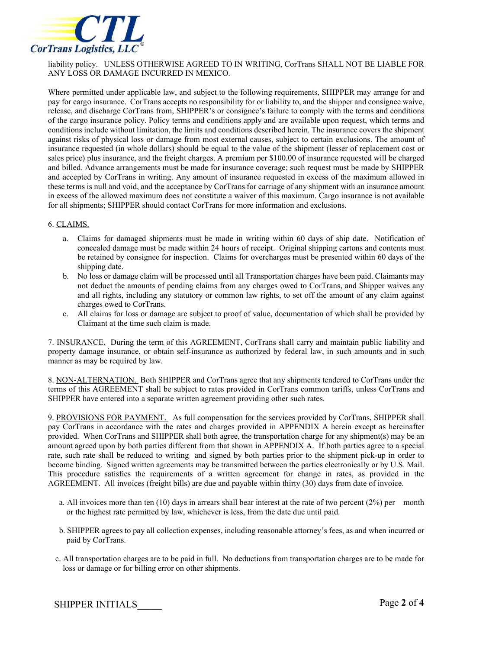

liability policy. UNLESS OTHERWISE AGREED TO IN WRITING, CorTrans SHALL NOT BE LIABLE FOR ANY LOSS OR DAMAGE INCURRED IN MEXICO.

Where permitted under applicable law, and subject to the following requirements, SHIPPER may arrange for and pay for cargo insurance. CorTrans accepts no responsibility for or liability to, and the shipper and consignee waive, release, and discharge CorTrans from, SHIPPER's or consignee's failure to comply with the terms and conditions of the cargo insurance policy. Policy terms and conditions apply and are available upon request, which terms and conditions include without limitation, the limits and conditions described herein. The insurance covers the shipment against risks of physical loss or damage from most external causes, subject to certain exclusions. The amount of insurance requested (in whole dollars) should be equal to the value of the shipment (lesser of replacement cost or sales price) plus insurance, and the freight charges. A premium per \$100.00 of insurance requested will be charged and billed. Advance arrangements must be made for insurance coverage; such request must be made by SHIPPER and accepted by CorTrans in writing. Any amount of insurance requested in excess of the maximum allowed in these terms is null and void, and the acceptance by CorTrans for carriage of any shipment with an insurance amount in excess of the allowed maximum does not constitute a waiver of this maximum. Cargo insurance is not available for all shipments; SHIPPER should contact CorTrans for more information and exclusions.

## 6. CLAIMS.

- a. Claims for damaged shipments must be made in writing within 60 days of ship date. Notification of concealed damage must be made within 24 hours of receipt. Original shipping cartons and contents must be retained by consignee for inspection. Claims for overcharges must be presented within 60 days of the shipping date.
- b. No loss or damage claim will be processed until all Transportation charges have been paid. Claimants may not deduct the amounts of pending claims from any charges owed to CorTrans, and Shipper waives any and all rights, including any statutory or common law rights, to set off the amount of any claim against charges owed to CorTrans.
- c. All claims for loss or damage are subject to proof of value, documentation of which shall be provided by Claimant at the time such claim is made.

7. INSURANCE. During the term of this AGREEMENT, CorTrans shall carry and maintain public liability and property damage insurance, or obtain self-insurance as authorized by federal law, in such amounts and in such manner as may be required by law.

8. NON-ALTERNATION. Both SHIPPER and CorTrans agree that any shipments tendered to CorTrans under the terms of this AGREEMENT shall be subject to rates provided in CorTrans common tariffs, unless CorTrans and SHIPPER have entered into a separate written agreement providing other such rates.

9. PROVISIONS FOR PAYMENT. As full compensation for the services provided by CorTrans, SHIPPER shall pay CorTrans in accordance with the rates and charges provided in APPENDIX A herein except as hereinafter provided. When CorTrans and SHIPPER shall both agree, the transportation charge for any shipment(s) may be an amount agreed upon by both parties different from that shown in APPENDIX A. If both parties agree to a special rate, such rate shall be reduced to writing and signed by both parties prior to the shipment pick-up in order to become binding. Signed written agreements may be transmitted between the parties electronically or by U.S. Mail. This procedure satisfies the requirements of a written agreement for change in rates, as provided in the AGREEMENT. All invoices (freight bills) are due and payable within thirty (30) days from date of invoice.

- a. All invoices more than ten  $(10)$  days in arrears shall bear interest at the rate of two percent  $(2%)$  per month or the highest rate permitted by law, whichever is less, from the date due until paid.
- b. SHIPPER agrees to pay all collection expenses, including reasonable attorney's fees, as and when incurred or paid by CorTrans.
- c. All transportation charges are to be paid in full. No deductions from transportation charges are to be made for loss or damage or for billing error on other shipments.

SHIPPER INITIALS Page 2 of 4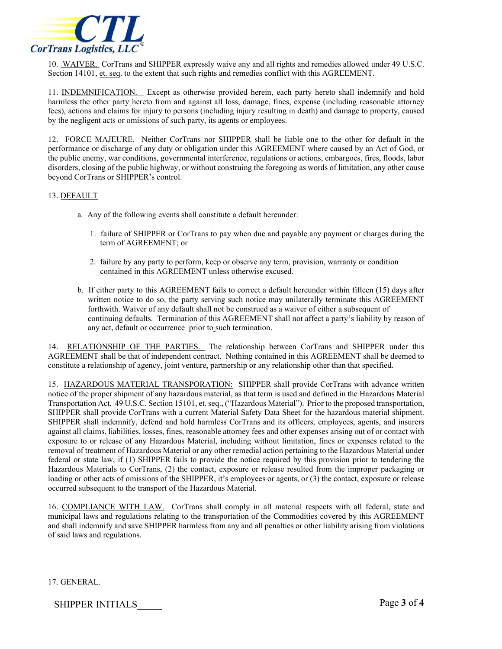

10. WAIVER. CorTrans and SHIPPER expressly waive any and all rights and remedies allowed under 49 U.S.C. Section 14101, et. seq. to the extent that such rights and remedies conflict with this AGREEMENT.

11. INDEMNIFICATION. Except as otherwise provided herein, each party hereto shall indemnify and hold harmless the other party hereto from and against all loss, damage, fines, expense (including reasonable attorney fees), actions and claims for injury to persons (including injury resulting in death) and damage to property, caused by the negligent acts or omissions of such party, its agents or employees.

12. FORCE MAJEURE. Neither CorTrans nor SHIPPER shall be liable one to the other for default in the performance or discharge of any duty or obligation under this AGREEMENT where caused by an Act of God, or the public enemy, war conditions, governmental interference, regulations or actions, embargoes, fires, floods, labor disorders, closing of the public highway, or without construing the foregoing as words of limitation, any other cause beyond CorTrans or SHIPPER's control.

## 13. DEFAULT

- a. Any of the following events shall constitute a default hereunder:
	- 1. failure of SHIPPER or CorTrans to pay when due and payable any payment or charges during the term of AGREEMENT; or
	- 2. failure by any party to perform, keep or observe any term, provision, warranty or condition contained in this AGREEMENT unless otherwise excused.
- b. If either party to this AGREEMENT fails to correct a default hereunder within fifteen (15) days after written notice to do so, the party serving such notice may unilaterally terminate this AGREEMENT forthwith. Waiver of any default shall not be construed as a waiver of either a subsequent of continuing defaults. Termination of this AGREEMENT shall not affect a party's liability by reason of any act, default or occurrence prior to such termination.

14. RELATIONSHIP OF THE PARTIES. The relationship between CorTrans and SHIPPER under this AGREEMENT shall be that of independent contract. Nothing contained in this AGREEMENT shall be deemed to constitute a relationship of agency, joint venture, partnership or any relationship other than that specified.

15. HAZARDOUS MATERIAL TRANSPORATION: SHIPPER shall provide CorTrans with advance written notice of the proper shipment of any hazardous material, as that term is used and defined in the Hazardous Material Transportation Act, 49 U.S.C. Section 15101, et. seq., ("Hazardous Material"). Prior to the proposed transportation, SHIPPER shall provide CorTrans with a current Material Safety Data Sheet for the hazardous material shipment. SHIPPER shall indemnify, defend and hold harmless CorTrans and its officers, employees, agents, and insurers against all claims, liabilities, losses, fines, reasonable attorney fees and other expenses arising out of or contact with exposure to or release of any Hazardous Material, including without limitation, fines or expenses related to the removal of treatment of Hazardous Material or any other remedial action pertaining to the Hazardous Material under federal or state law, if (1) SHIPPER fails to provide the notice required by this provision prior to tendering the Hazardous Materials to CorTrans, (2) the contact, exposure or release resulted from the improper packaging or loading or other acts of omissions of the SHIPPER, it's employees or agents, or (3) the contact, exposure or release occurred subsequent to the transport of the Hazardous Material.

16. COMPLIANCE WITH LAW. CorTrans shall comply in all material respects with all federal, state and municipal laws and regulations relating to the transportation of the Commodities covered by this AGREEMENT and shall indemnify and save SHIPPER harmless from any and all penalties or other liability arising from violations of said laws and regulations.

17. GENERAL.

SHIPPER INITIALS Page 3 of 4